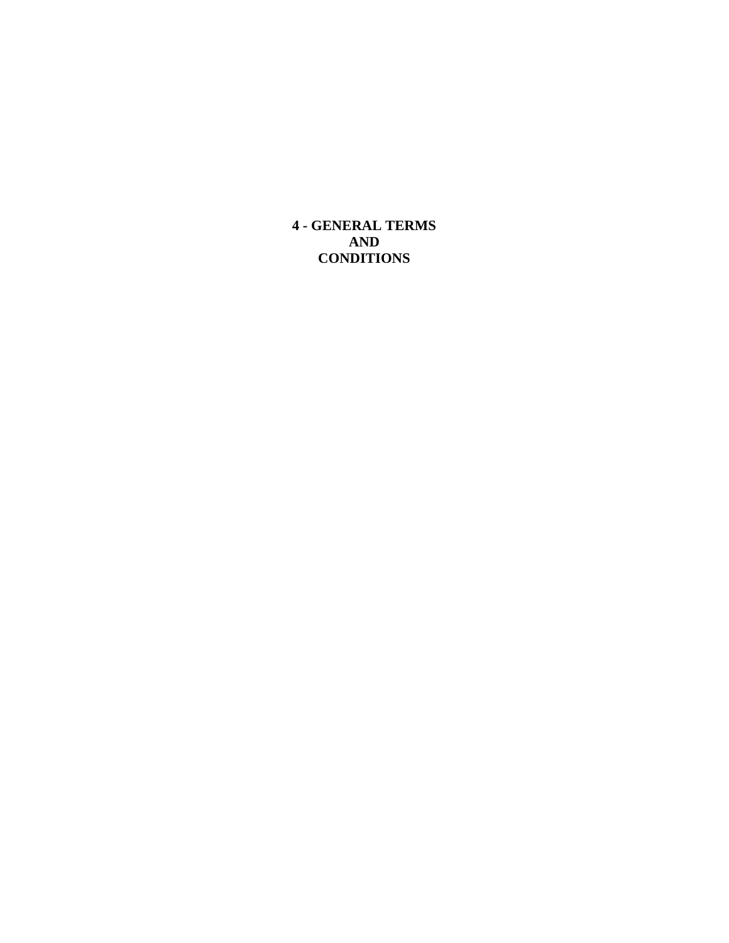**4 - GENERAL TERMS AND CONDITIONS**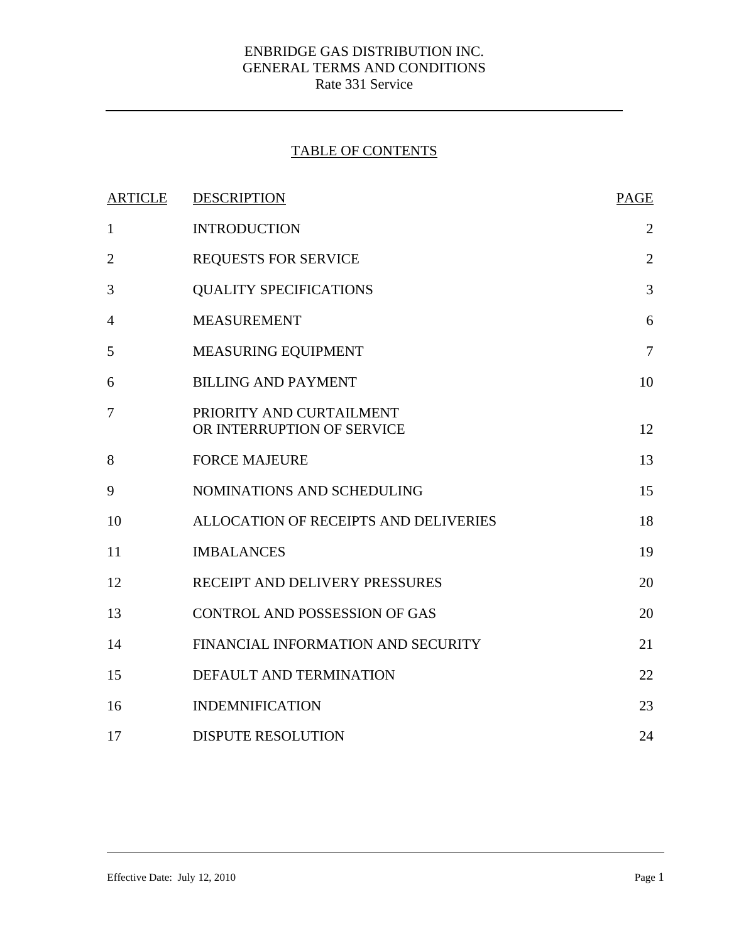# TABLE OF CONTENTS

| <b>ARTICLE</b> | <b>DESCRIPTION</b>                                     | <b>PAGE</b>    |
|----------------|--------------------------------------------------------|----------------|
| $\mathbf{1}$   | <b>INTRODUCTION</b>                                    | $\overline{2}$ |
| $\overline{2}$ | <b>REQUESTS FOR SERVICE</b>                            | $\overline{2}$ |
| 3              | <b>QUALITY SPECIFICATIONS</b>                          | 3              |
| 4              | <b>MEASUREMENT</b>                                     | 6              |
| 5              | MEASURING EQUIPMENT                                    | $\overline{7}$ |
| 6              | <b>BILLING AND PAYMENT</b>                             | 10             |
| 7              | PRIORITY AND CURTAILMENT<br>OR INTERRUPTION OF SERVICE | 12             |
| 8              | <b>FORCE MAJEURE</b>                                   | 13             |
| 9              | NOMINATIONS AND SCHEDULING                             | 15             |
| 10             | ALLOCATION OF RECEIPTS AND DELIVERIES                  | 18             |
| 11             | <b>IMBALANCES</b>                                      | 19             |
| 12             | RECEIPT AND DELIVERY PRESSURES                         | 20             |
| 13             | <b>CONTROL AND POSSESSION OF GAS</b>                   | 20             |
| 14             | FINANCIAL INFORMATION AND SECURITY                     | 21             |
| 15             | DEFAULT AND TERMINATION                                | 22             |
| 16             | <b>INDEMNIFICATION</b>                                 | 23             |
| 17             | <b>DISPUTE RESOLUTION</b>                              | 24             |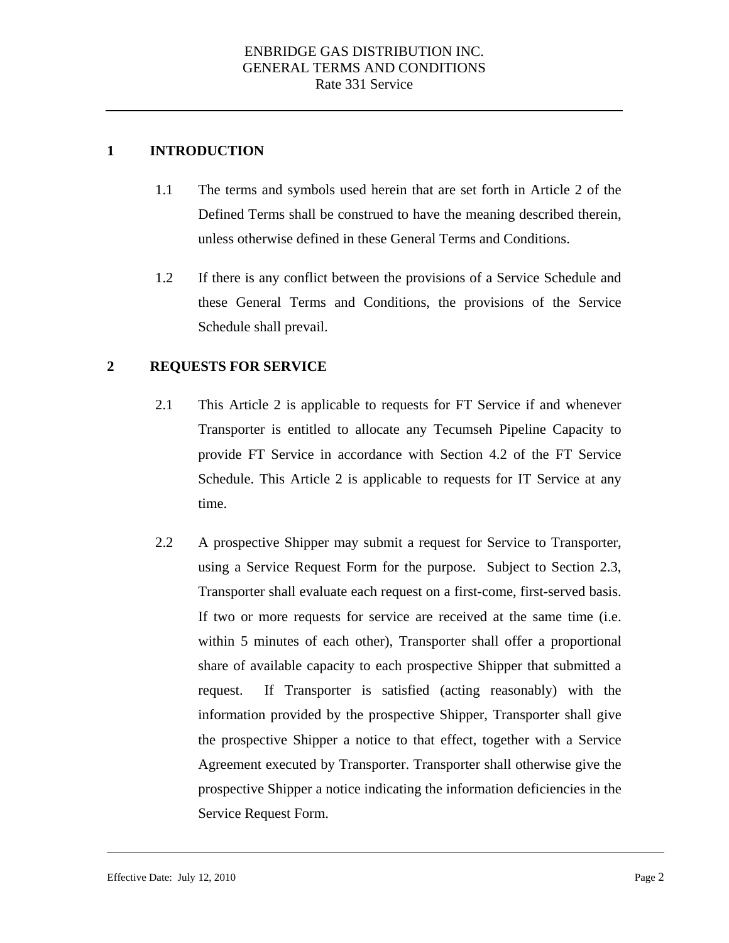## <span id="page-2-0"></span>**1 INTRODUCTION**

- 1.1 The terms and symbols used herein that are set forth in Article 2 of the Defined Terms shall be construed to have the meaning described therein, unless otherwise defined in these General Terms and Conditions.
- 1.2 If there is any conflict between the provisions of a Service Schedule and these General Terms and Conditions, the provisions of the Service Schedule shall prevail.

### **2 REQUESTS FOR SERVICE**

- 2.1 This Article 2 is applicable to requests for FT Service if and whenever Transporter is entitled to allocate any Tecumseh Pipeline Capacity to provide FT Service in accordance with Section 4.2 of the FT Service Schedule. This Article 2 is applicable to requests for IT Service at any time.
- Transporter shall evaluate each request on a first-come, first-served basis. 2.2 A prospective Shipper may submit a request for Service to Transporter, using a Service Request Form for the purpose. Subject to Section 2.3, If two or more requests for service are received at the same time (i.e. within 5 minutes of each other), Transporter shall offer a proportional share of available capacity to each prospective Shipper that submitted a request. If Transporter is satisfied (acting reasonably) with the information provided by the prospective Shipper, Transporter shall give the prospective Shipper a notice to that effect, together with a Service Agreement executed by Transporter. Transporter shall otherwise give the prospective Shipper a notice indicating the information deficiencies in the Service Request Form.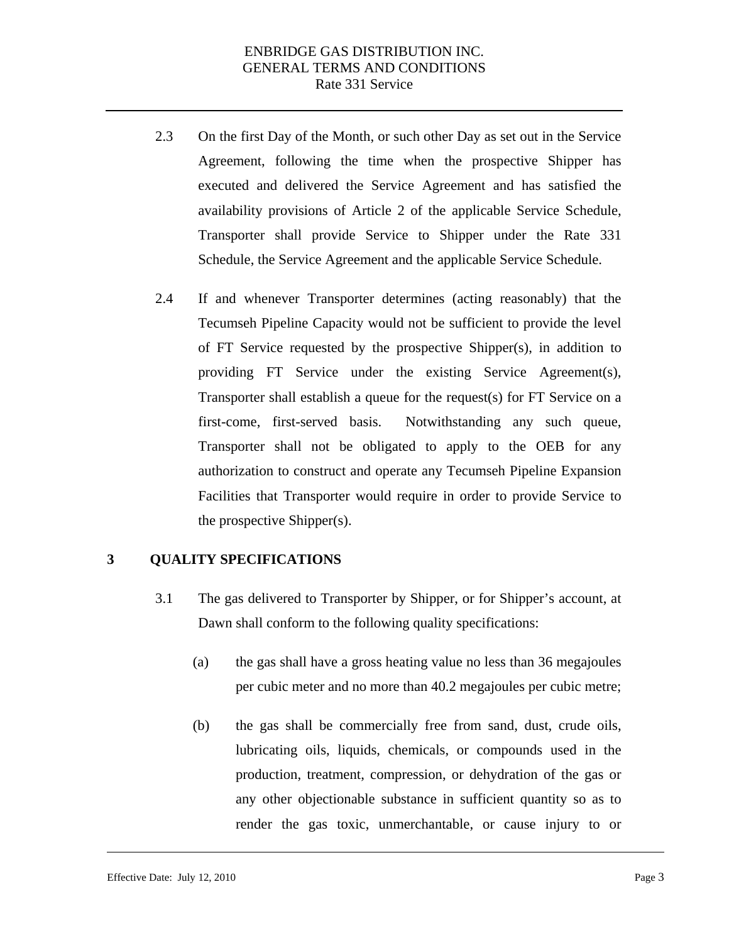- 2.3 On the first Day of the Month, or such other Day as set out in the Service Agreement, following the time when the prospective Shipper has executed and delivered the Service Agreement and has satisfied the availability provisions of Article 2 of the applicable Service Schedule, Transporter shall provide Service to Shipper under the Rate 331 Schedule, the Service Agreement and the applicable Service Schedule.
- 2.4 If and whenever Transporter determines (acting reasonably) that the Tecumseh Pipeline Capacity would not be sufficient to provide the level of FT Service requested by the prospective Shipper(s), in addition to providing FT Service under the existing Service Agreement(s), Transporter shall establish a queue for the request(s) for FT Service on a first-come, first-served basis. Notwithstanding any such queue, Transporter shall not be obligated to apply to the OEB for any authorization to construct and operate any Tecumseh Pipeline Expansion Facilities that Transporter would require in order to provide Service to the prospective Shipper(s).

#### **3 QUALITY SPECIFICATIONS**

- 3.1 The gas delivered to Transporter by Shipper, or for Shipper's account, at Dawn shall conform to the following quality specifications:
	- (a) the gas shall have a gross heating value no less than 36 megajoules per cubic meter and no more than 40.2 megajoules per cubic metre;
	- (b) the gas shall be commercially free from sand, dust, crude oils, lubricating oils, liquids, chemicals, or compounds used in the production, treatment, compression, or dehydration of the gas or any other objectionable substance in sufficient quantity so as to render the gas toxic, unmerchantable, or cause injury to or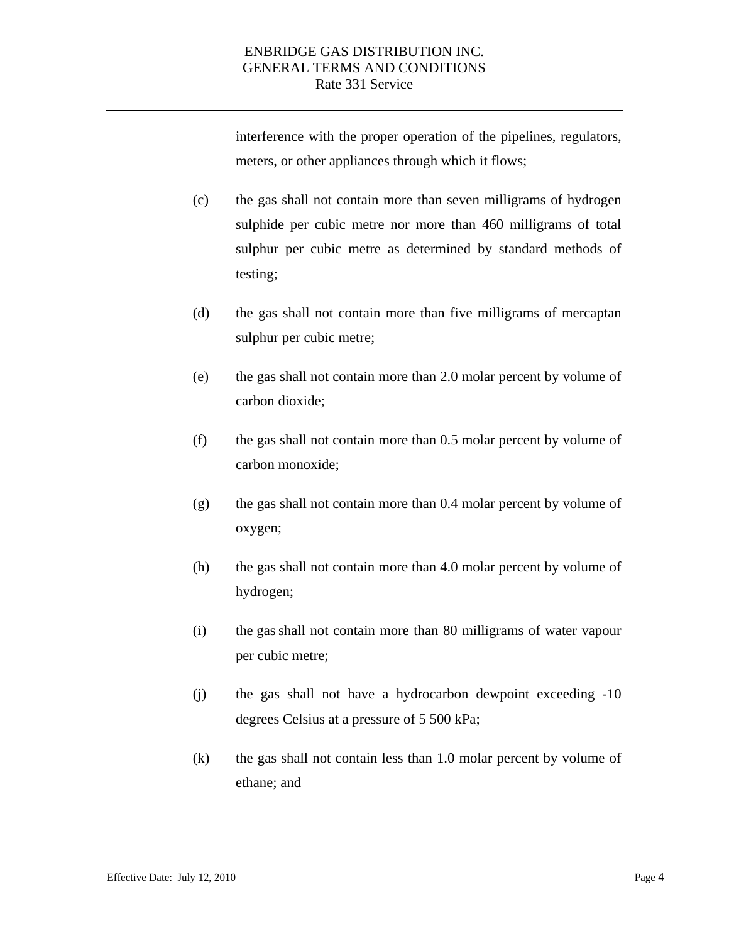interference with the proper operation of the pipelines, regulators, meters, or other appliances through which it flows;

- (c) the gas shall not contain more than seven milligrams of hydrogen sulphide per cubic metre nor more than 460 milligrams of total sulphur per cubic metre as determined by standard methods of testing;
- (d) the gas shall not contain more than five milligrams of mercaptan sulphur per cubic metre;
- (e) the gas shall not contain more than 2.0 molar percent by volume of carbon dioxide;
- (f) the gas shall not contain more than 0.5 molar percent by volume of carbon monoxide;
- (g) the gas shall not contain more than 0.4 molar percent by volume of oxygen;
- (h) the gas shall not contain more than 4.0 molar percent by volume of hydrogen;
- (i) the gas shall not contain more than 80 milligrams of water vapour per cubic metre;
- (j) the gas shall not have a hydrocarbon dewpoint exceeding -10 degrees Celsius at a pressure of 5 500 kPa;
- (k) the gas shall not contain less than 1.0 molar percent by volume of ethane; and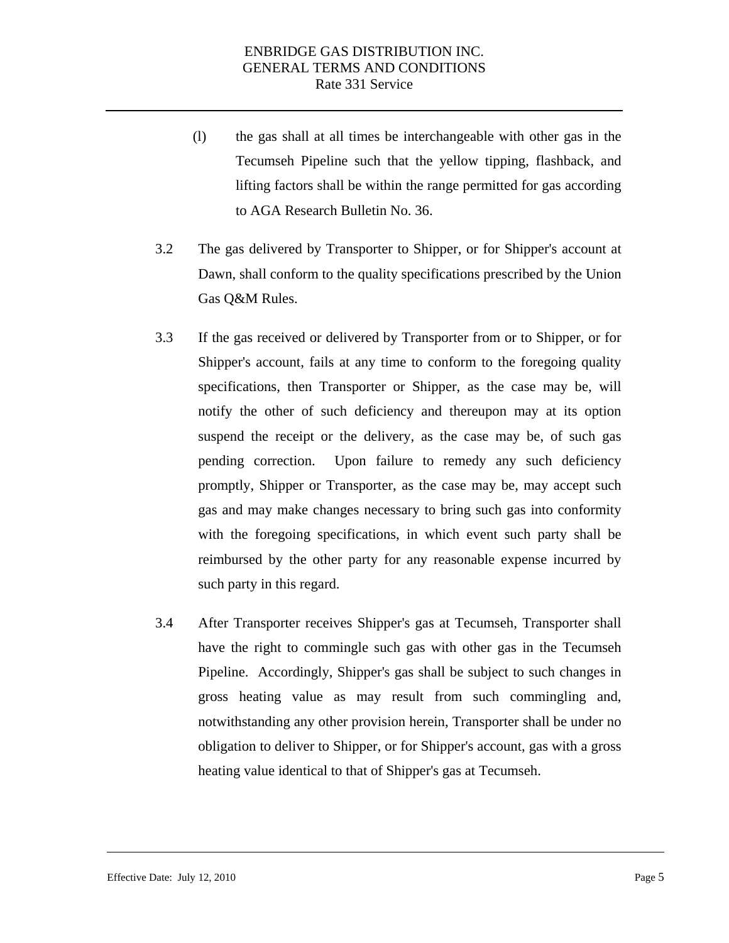- (l) the gas shall at all times be interchangeable with other gas in the Tecumseh Pipeline such that the yellow tipping, flashback, and lifting factors shall be within the range permitted for gas according to AGA Research Bulletin No. 36.
- 3.2 The gas delivered by Transporter to Shipper, or for Shipper's account at Dawn, shall conform to the quality specifications prescribed by the Union Gas Q&M Rules.
- 3.3 If the gas received or delivered by Transporter from or to Shipper, or for Shipper's account, fails at any time to conform to the foregoing quality specifications, then Transporter or Shipper, as the case may be, will notify the other of such deficiency and thereupon may at its option suspend the receipt or the delivery, as the case may be, of such gas pending correction. Upon failure to remedy any such deficiency promptly, Shipper or Transporter, as the case may be, may accept such gas and may make changes necessary to bring such gas into conformity with the foregoing specifications, in which event such party shall be reimbursed by the other party for any reasonable expense incurred by such party in this regard.
- 3.4 After Transporter receives Shipper's gas at Tecumseh, Transporter shall have the right to commingle such gas with other gas in the Tecumseh Pipeline. Accordingly, Shipper's gas shall be subject to such changes in gross heating value as may result from such commingling and, notwithstanding any other provision herein, Transporter shall be under no obligation to deliver to Shipper, or for Shipper's account, gas with a gross heating value identical to that of Shipper's gas at Tecumseh.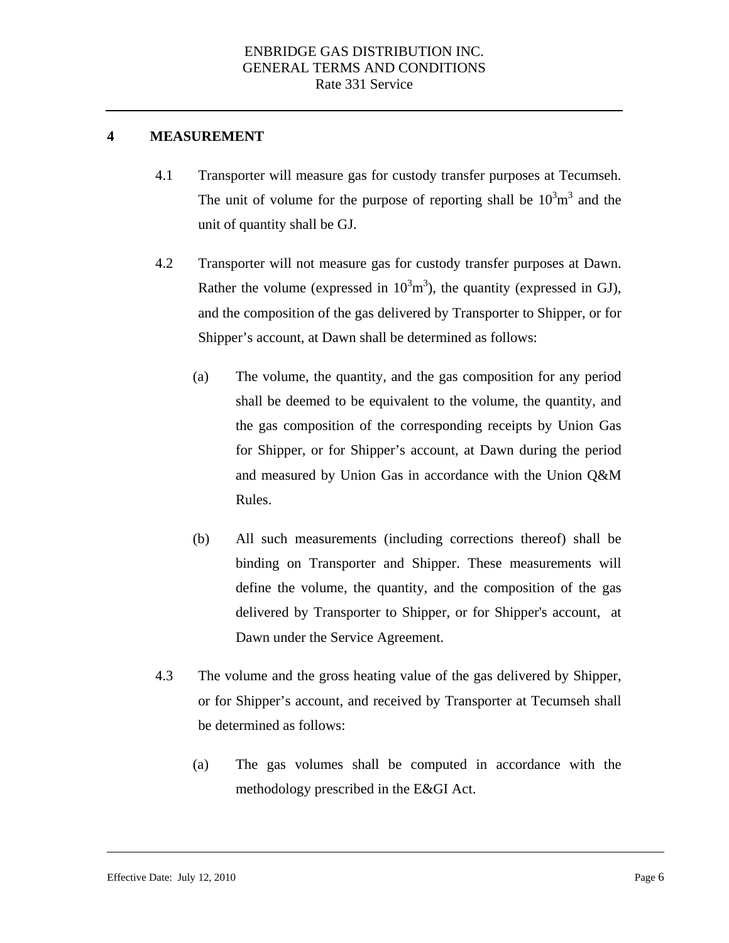#### **4 MEASUREMENT**

- 4.1 Transporter will measure gas for custody transfer purposes at Tecumseh. The unit of volume for the purpose of reporting shall be  $10^3 \text{m}^3$  and the unit of quantity shall be GJ.
- 4.2 Transporter will not measure gas for custody transfer purposes at Dawn. Rather the volume (expressed in  $10^3 \text{m}^3$ ), the quantity (expressed in GJ), and the composition of the gas delivered by Transporter to Shipper, or for Shipper's account, at Dawn shall be determined as follows:
	- (a) The volume, the quantity, and the gas composition for any period shall be deemed to be equivalent to the volume, the quantity, and the gas composition of the corresponding receipts by Union Gas for Shipper, or for Shipper's account, at Dawn during the period and measured by Union Gas in accordance with the Union Q&M Rules.
	- (b) All such measurements (including corrections thereof) shall be binding on Transporter and Shipper. These measurements will define the volume, the quantity, and the composition of the gas delivered by Transporter to Shipper, or for Shipper's account, at Dawn under the Service Agreement.
- 4.3 The volume and the gross heating value of the gas delivered by Shipper, or for Shipper's account, and received by Transporter at Tecumseh shall be determined as follows:
	- (a) The gas volumes shall be computed in accordance with the methodology prescribed in the E&GI Act.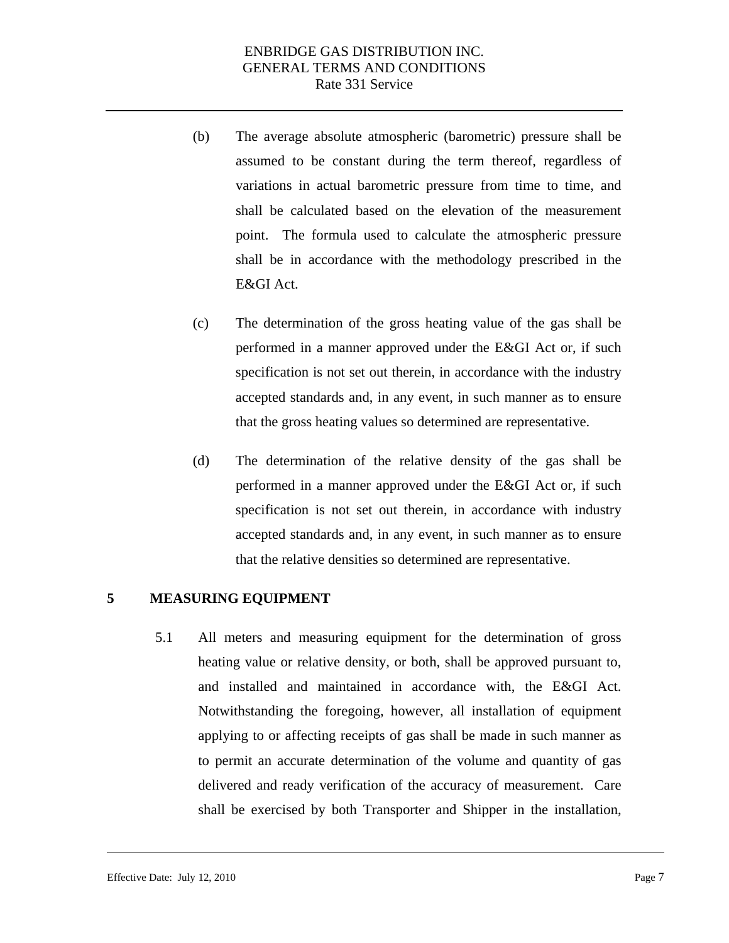- (b) The average absolute atmospheric (barometric) pressure shall be assumed to be constant during the term thereof, regardless of variations in actual barometric pressure from time to time, and shall be calculated based on the elevation of the measurement point. The formula used to calculate the atmospheric pressure shall be in accordance with the methodology prescribed in the E&GI Act.
- (c) The determination of the gross heating value of the gas shall be performed in a manner approved under the E&GI Act or, if such specification is not set out therein, in accordance with the industry accepted standards and, in any event, in such manner as to ensure that the gross heating values so determined are representative.
- (d) The determination of the relative density of the gas shall be performed in a manner approved under the E&GI Act or, if such specification is not set out therein, in accordance with industry accepted standards and, in any event, in such manner as to ensure that the relative densities so determined are representative.

#### **5 MEASURING EQUIPMENT**

5.1 All meters and measuring equipment for the determination of gross heating value or relative density, or both, shall be approved pursuant to, and installed and maintained in accordance with, the E&GI Act. Notwithstanding the foregoing, however, all installation of equipment applying to or affecting receipts of gas shall be made in such manner as to permit an accurate determination of the volume and quantity of gas delivered and ready verification of the accuracy of measurement. Care shall be exercised by both Transporter and Shipper in the installation,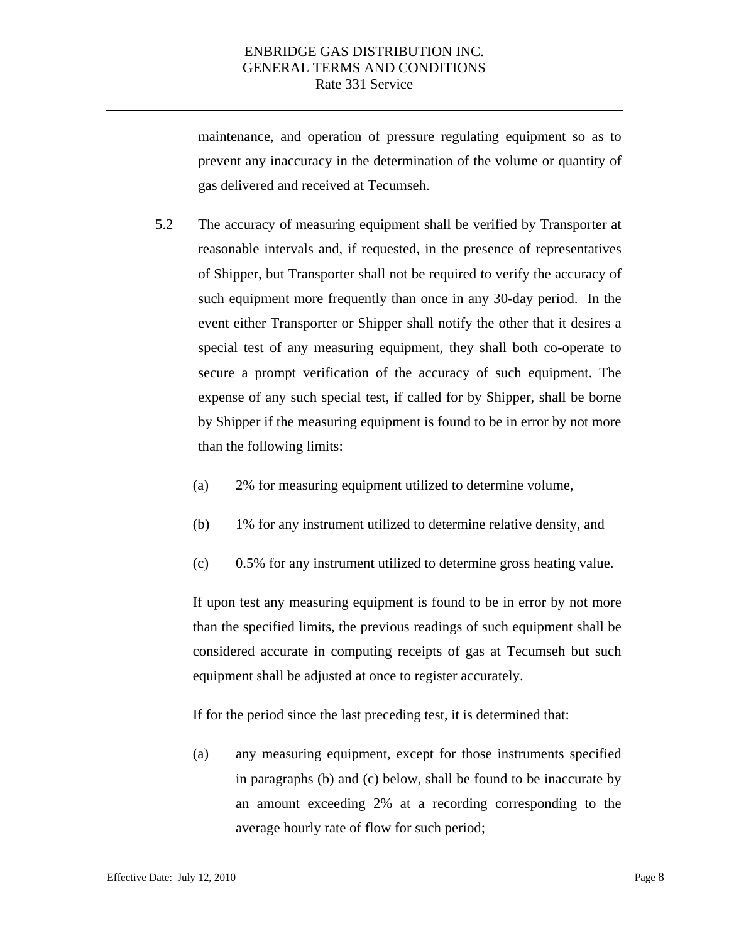maintenance, and operation of pressure regulating equipment so as to prevent any inaccuracy in the determination of the volume or quantity of gas delivered and received at Tecumseh.

- 5.2 The accuracy of measuring equipment shall be verified by Transporter at reasonable intervals and, if requested, in the presence of representatives of Shipper, but Transporter shall not be required to verify the accuracy of such equipment more frequently than once in any 30-day period. In the event either Transporter or Shipper shall notify the other that it desires a special test of any measuring equipment, they shall both co-operate to secure a prompt verification of the accuracy of such equipment. The expense of any such special test, if called for by Shipper, shall be borne by Shipper if the measuring equipment is found to be in error by not more than the following limits:
	- (a) 2% for measuring equipment utilized to determine volume,
	- (b) 1% for any instrument utilized to determine relative density, and
	- (c) 0.5% for any instrument utilized to determine gross heating value.

If upon test any measuring equipment is found to be in error by not more than the specified limits, the previous readings of such equipment shall be considered accurate in computing receipts of gas at Tecumseh but such equipment shall be adjusted at once to register accurately.

If for the period since the last preceding test, it is determined that:

(a) any measuring equipment, except for those instruments specified in paragraphs (b) and (c) below, shall be found to be inaccurate by an amount exceeding 2% at a recording corresponding to the average hourly rate of flow for such period;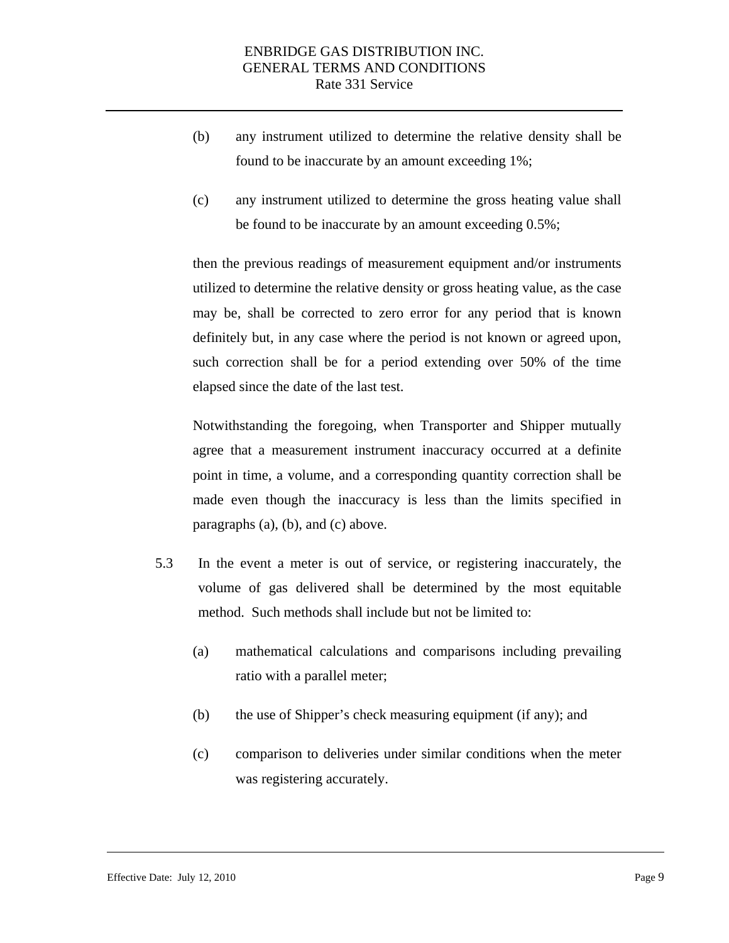- (b) any instrument utilized to determine the relative density shall be found to be inaccurate by an amount exceeding 1%;
- (c) any instrument utilized to determine the gross heating value shall be found to be inaccurate by an amount exceeding 0.5%;

then the previous readings of measurement equipment and/or instruments utilized to determine the relative density or gross heating value, as the case may be, shall be corrected to zero error for any period that is known definitely but, in any case where the period is not known or agreed upon, such correction shall be for a period extending over 50% of the time elapsed since the date of the last test.

Notwithstanding the foregoing, when Transporter and Shipper mutually agree that a measurement instrument inaccuracy occurred at a definite point in time, a volume, and a corresponding quantity correction shall be made even though the inaccuracy is less than the limits specified in paragraphs (a), (b), and (c) above.

- 5.3 In the event a meter is out of service, or registering inaccurately, the volume of gas delivered shall be determined by the most equitable method. Such methods shall include but not be limited to:
	- (a) mathematical calculations and comparisons including prevailing ratio with a parallel meter;
	- (b) the use of Shipper's check measuring equipment (if any); and
	- (c) comparison to deliveries under similar conditions when the meter was registering accurately.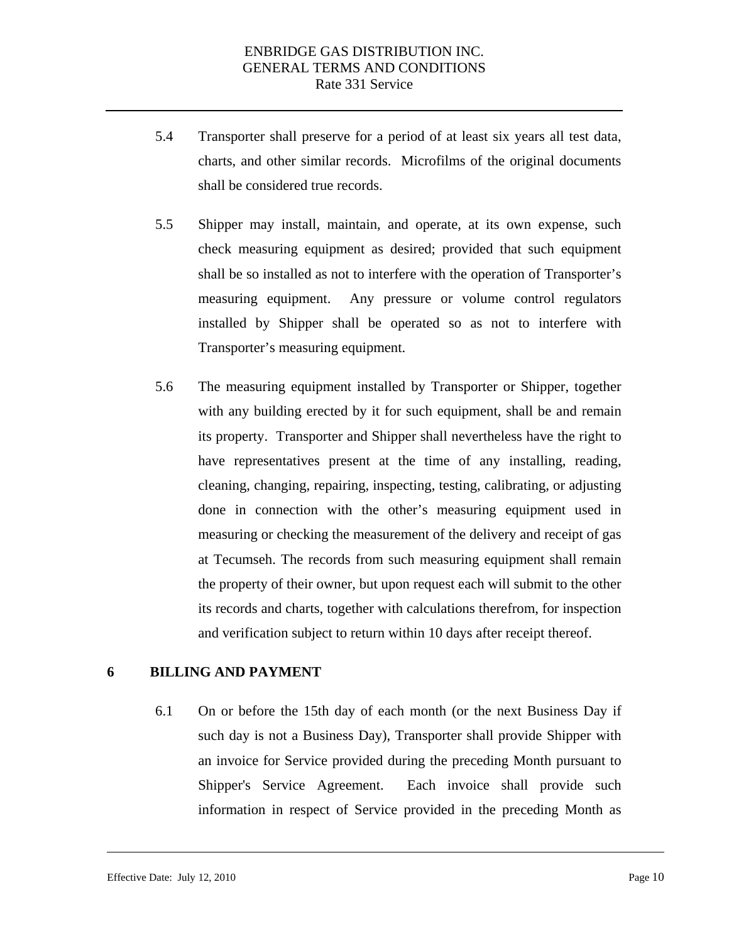- <span id="page-10-0"></span>5.4 Transporter shall preserve for a period of at least six years all test data, charts, and other similar records. Microfilms of the original documents shall be considered true records.
- 5.5 Shipper may install, maintain, and operate, at its own expense, such check measuring equipment as desired; provided that such equipment shall be so installed as not to interfere with the operation of Transporter's measuring equipment. Any pressure or volume control regulators installed by Shipper shall be operated so as not to interfere with Transporter's measuring equipment.
- 5.6 The measuring equipment installed by Transporter or Shipper, together with any building erected by it for such equipment, shall be and remain its property. Transporter and Shipper shall nevertheless have the right to have representatives present at the time of any installing, reading, cleaning, changing, repairing, inspecting, testing, calibrating, or adjusting done in connection with the other's measuring equipment used in measuring or checking the measurement of the delivery and receipt of gas at Tecumseh. The records from such measuring equipment shall remain the property of their owner, but upon request each will submit to the other its records and charts, together with calculations therefrom, for inspection and verification subject to return within 10 days after receipt thereof.

#### **6 BILLING AND PAYMENT**

6.1 On or before the 15th day of each month (or the next Business Day if such day is not a Business Day), Transporter shall provide Shipper with an invoice for Service provided during the preceding Month pursuant to Shipper's Service Agreement. Each invoice shall provide such information in respect of Service provided in the preceding Month as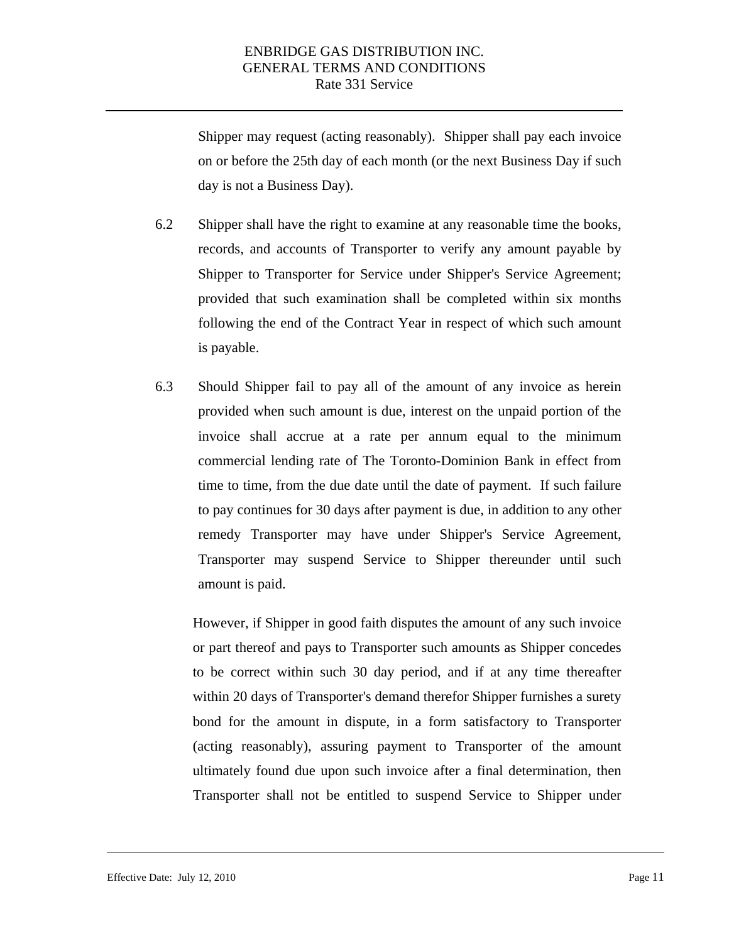Shipper may request (acting reasonably). Shipper shall pay each invoice on or before the 25th day of each month (or the next Business Day if such day is not a Business Day).

- 6.2 Shipper shall have the right to examine at any reasonable time the books, records, and accounts of Transporter to verify any amount payable by Shipper to Transporter for Service under Shipper's Service Agreement; provided that such examination shall be completed within six months following the end of the Contract Year in respect of which such amount is payable.
- 6.3 Should Shipper fail to pay all of the amount of any invoice as herein provided when such amount is due, interest on the unpaid portion of the invoice shall accrue at a rate per annum equal to the minimum commercial lending rate of The Toronto-Dominion Bank in effect from time to time, from the due date until the date of payment. If such failure to pay continues for 30 days after payment is due, in addition to any other remedy Transporter may have under Shipper's Service Agreement, Transporter may suspend Service to Shipper thereunder until such amount is paid.

However, if Shipper in good faith disputes the amount of any such invoice or part thereof and pays to Transporter such amounts as Shipper concedes to be correct within such 30 day period, and if at any time thereafter within 20 days of Transporter's demand therefor Shipper furnishes a surety bond for the amount in dispute, in a form satisfactory to Transporter (acting reasonably), assuring payment to Transporter of the amount ultimately found due upon such invoice after a final determination, then Transporter shall not be entitled to suspend Service to Shipper under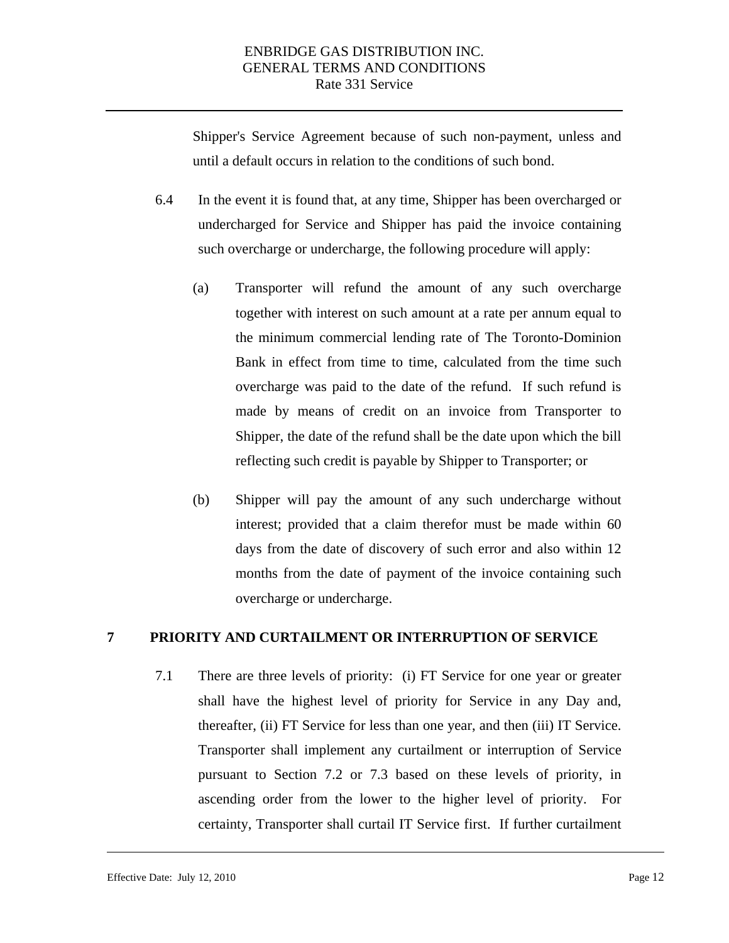<span id="page-12-0"></span>Shipper's Service Agreement because of such non-payment, unless and until a default occurs in relation to the conditions of such bond.

- 6.4 In the event it is found that, at any time, Shipper has been overcharged or undercharged for Service and Shipper has paid the invoice containing such overcharge or undercharge, the following procedure will apply:
	- (a) Transporter will refund the amount of any such overcharge together with interest on such amount at a rate per annum equal to the minimum commercial lending rate of The Toronto-Dominion Bank in effect from time to time, calculated from the time such overcharge was paid to the date of the refund. If such refund is made by means of credit on an invoice from Transporter to Shipper, the date of the refund shall be the date upon which the bill reflecting such credit is payable by Shipper to Transporter; or
	- (b) Shipper will pay the amount of any such undercharge without interest; provided that a claim therefor must be made within 60 days from the date of discovery of such error and also within 12 months from the date of payment of the invoice containing such overcharge or undercharge.

#### **7 PRIORITY AND CURTAILMENT OR INTERRUPTION OF SERVICE**

7.1 There are three levels of priority: (i) FT Service for one year or greater shall have the highest level of priority for Service in any Day and, thereafter, (ii) FT Service for less than one year, and then (iii) IT Service. Transporter shall implement any curtailment or interruption of Service pursuant to Section 7.2 or 7.3 based on these levels of priority, in ascending order from the lower to the higher level of priority. For certainty, Transporter shall curtail IT Service first. If further curtailment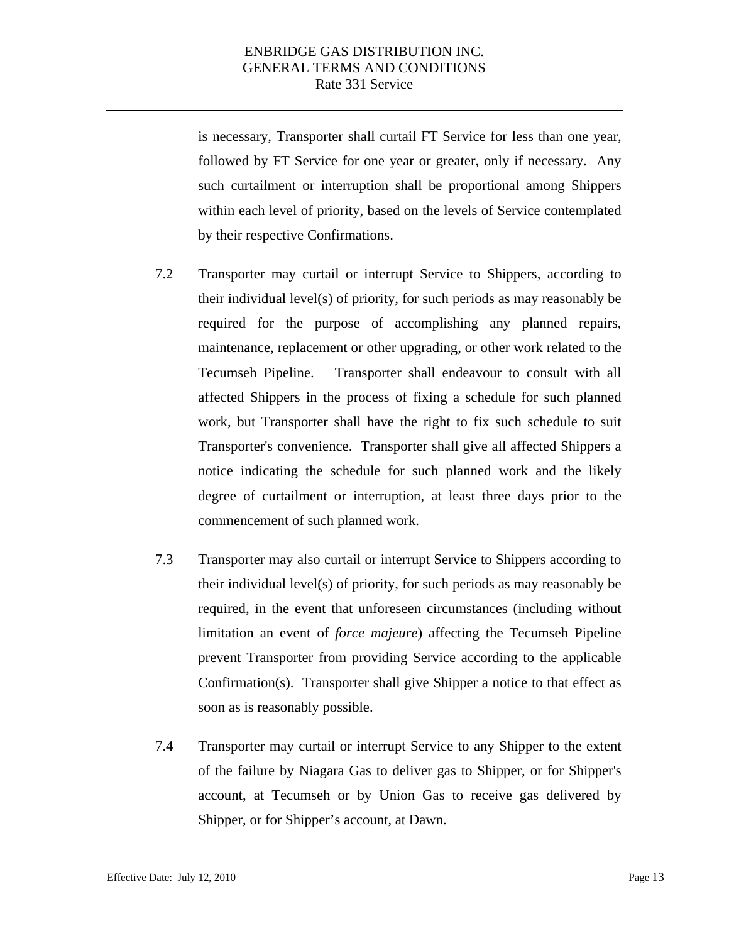is necessary, Transporter shall curtail FT Service for less than one year, followed by FT Service for one year or greater, only if necessary. Any such curtailment or interruption shall be proportional among Shippers within each level of priority, based on the levels of Service contemplated by their respective Confirmations.

- 7.2 Transporter may curtail or interrupt Service to Shippers, according to their individual level(s) of priority, for such periods as may reasonably be required for the purpose of accomplishing any planned repairs, maintenance, replacement or other upgrading, or other work related to the Tecumseh Pipeline. Transporter shall endeavour to consult with all affected Shippers in the process of fixing a schedule for such planned work, but Transporter shall have the right to fix such schedule to suit Transporter's convenience. Transporter shall give all affected Shippers a notice indicating the schedule for such planned work and the likely degree of curtailment or interruption, at least three days prior to the commencement of such planned work.
- 7.3 Transporter may also curtail or interrupt Service to Shippers according to their individual level(s) of priority, for such periods as may reasonably be required, in the event that unforeseen circumstances (including without limitation an event of *force majeure*) affecting the Tecumseh Pipeline prevent Transporter from providing Service according to the applicable Confirmation(s). Transporter shall give Shipper a notice to that effect as soon as is reasonably possible.
- 7.4 Transporter may curtail or interrupt Service to any Shipper to the extent of the failure by Niagara Gas to deliver gas to Shipper, or for Shipper's account, at Tecumseh or by Union Gas to receive gas delivered by Shipper, or for Shipper's account, at Dawn.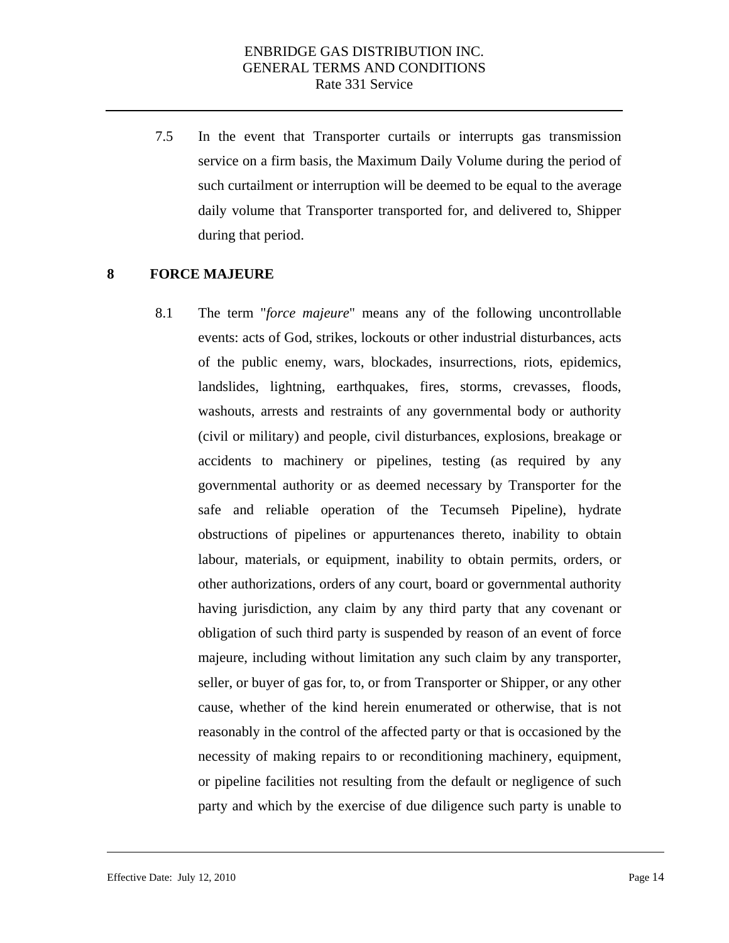7.5 In the event that Transporter curtails or interrupts gas transmission service on a firm basis, the Maximum Daily Volume during the period of such curtailment or interruption will be deemed to be equal to the average daily volume that Transporter transported for, and delivered to, Shipper during that period.

#### **8 FORCE MAJEURE**

8.1 The term "*force majeure*" means any of the following uncontrollable events: acts of God, strikes, lockouts or other industrial disturbances, acts of the public enemy, wars, blockades, insurrections, riots, epidemics, landslides, lightning, earthquakes, fires, storms, crevasses, floods, washouts, arrests and restraints of any governmental body or authority (civil or military) and people, civil disturbances, explosions, breakage or accidents to machinery or pipelines, testing (as required by any governmental authority or as deemed necessary by Transporter for the safe and reliable operation of the Tecumseh Pipeline), hydrate obstructions of pipelines or appurtenances thereto, inability to obtain labour, materials, or equipment, inability to obtain permits, orders, or other authorizations, orders of any court, board or governmental authority having jurisdiction, any claim by any third party that any covenant or obligation of such third party is suspended by reason of an event of force majeure, including without limitation any such claim by any transporter, seller, or buyer of gas for, to, or from Transporter or Shipper, or any other cause, whether of the kind herein enumerated or otherwise, that is not reasonably in the control of the affected party or that is occasioned by the necessity of making repairs to or reconditioning machinery, equipment, or pipeline facilities not resulting from the default or negligence of such party and which by the exercise of due diligence such party is unable to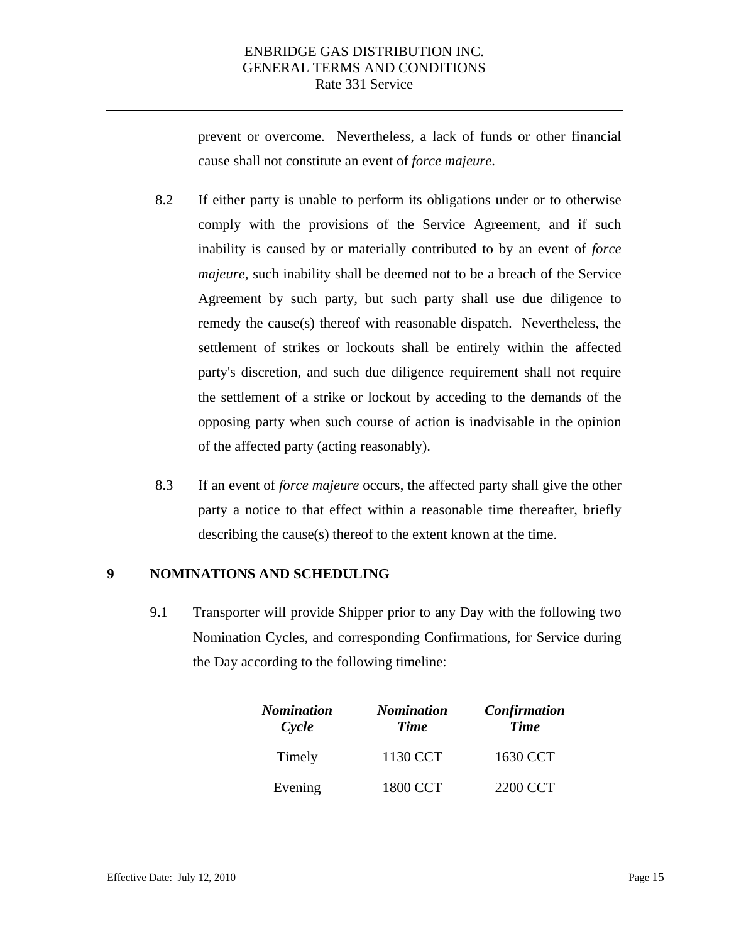prevent or overcome. Nevertheless, a lack of funds or other financial cause shall not constitute an event of *force majeure*.

- 8.2 If either party is unable to perform its obligations under or to otherwise comply with the provisions of the Service Agreement, and if such inability is caused by or materially contributed to by an event of *force majeure*, such inability shall be deemed not to be a breach of the Service Agreement by such party, but such party shall use due diligence to remedy the cause(s) thereof with reasonable dispatch. Nevertheless, the settlement of strikes or lockouts shall be entirely within the affected party's discretion, and such due diligence requirement shall not require the settlement of a strike or lockout by acceding to the demands of the opposing party when such course of action is inadvisable in the opinion of the affected party (acting reasonably).
- 8.3 If an event of *force majeure* occurs, the affected party shall give the other party a notice to that effect within a reasonable time thereafter, briefly describing the cause(s) thereof to the extent known at the time.

#### **9 NOMINATIONS AND SCHEDULING**

9.1 Transporter will provide Shipper prior to any Day with the following two Nomination Cycles, and corresponding Confirmations, for Service during the Day according to the following timeline:

| Nomination<br>Cycle | <b>Nomination</b><br><b>Time</b> | Confirmation<br><b>Time</b> |
|---------------------|----------------------------------|-----------------------------|
| Timely              | 1130 CCT                         | 1630 CCT                    |
| Evening             | 1800 CCT                         | 2200 CCT                    |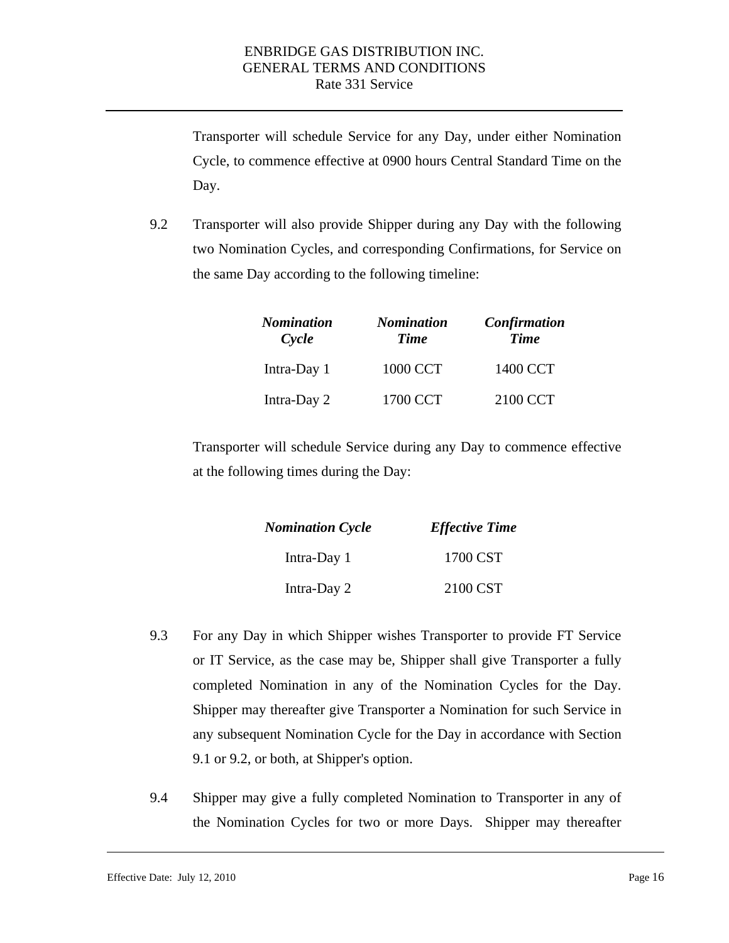Transporter will schedule Service for any Day, under either Nomination Cycle, to commence effective at 0900 hours Central Standard Time on the Day.

9.2 Transporter will also provide Shipper during any Day with the following two Nomination Cycles, and corresponding Confirmations, for Service on the same Day according to the following timeline:

| <b>Nomination</b><br>Cycle | <b>Nomination</b><br><b>Time</b> | Confirmation<br><b>Time</b> |
|----------------------------|----------------------------------|-----------------------------|
| Intra-Day 1                | 1000 CCT                         | 1400 CCT                    |
| Intra-Day 2                | 1700 CCT                         | 2100 CCT                    |

Transporter will schedule Service during any Day to commence effective at the following times during the Day:

| <b>Nomination Cycle</b> | <b>Effective Time</b> |  |
|-------------------------|-----------------------|--|
| Intra-Day 1             | 1700 CST              |  |
| Intra-Day 2             | 2100 CST              |  |

- 9.3 For any Day in which Shipper wishes Transporter to provide FT Service or IT Service, as the case may be, Shipper shall give Transporter a fully completed Nomination in any of the Nomination Cycles for the Day. Shipper may thereafter give Transporter a Nomination for such Service in any subsequent Nomination Cycle for the Day in accordance with Section 9.1 or 9.2, or both, at Shipper's option.
- 9.4 Shipper may give a fully completed Nomination to Transporter in any of the Nomination Cycles for two or more Days. Shipper may thereafter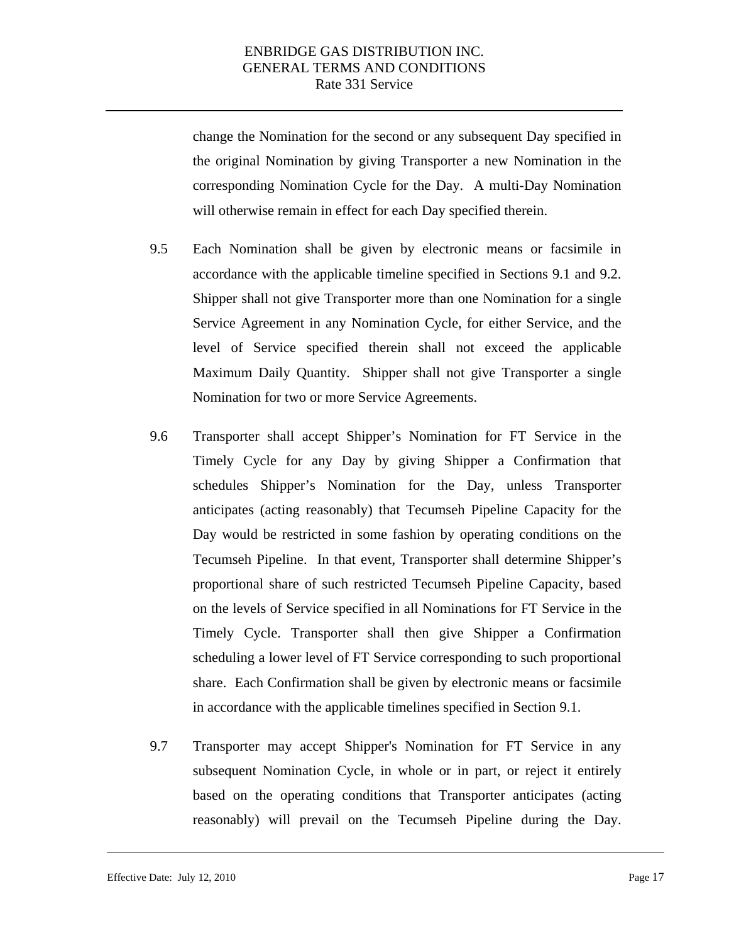will otherwise remain in effect for each Day specified therein. change the Nomination for the second or any subsequent Day specified in the original Nomination by giving Transporter a new Nomination in the corresponding Nomination Cycle for the Day. A multi-Day Nomination

- 9.5 Each Nomination shall be given by electronic means or facsimile in accordance with the applicable timeline specified in Sections 9.1 and 9.2. Shipper shall not give Transporter more than one Nomination for a single Service Agreement in any Nomination Cycle, for either Service, and the level of Service specified therein shall not exceed the applicable Maximum Daily Quantity. Shipper shall not give Transporter a single Nomination for two or more Service Agreements.
- Tecumseh Pipeline. In that event, Transporter shall determine Shipper's 9.6 Transporter shall accept Shipper's Nomination for FT Service in the Timely Cycle for any Day by giving Shipper a Confirmation that schedules Shipper's Nomination for the Day, unless Transporter anticipates (acting reasonably) that Tecumseh Pipeline Capacity for the Day would be restricted in some fashion by operating conditions on the proportional share of such restricted Tecumseh Pipeline Capacity, based on the levels of Service specified in all Nominations for FT Service in the Timely Cycle. Transporter shall then give Shipper a Confirmation scheduling a lower level of FT Service corresponding to such proportional share. Each Confirmation shall be given by electronic means or facsimile in accordance with the applicable timelines specified in Section 9.1.
- 9.7 Transporter may accept Shipper's Nomination for FT Service in any subsequent Nomination Cycle, in whole or in part, or reject it entirely based on the operating conditions that Transporter anticipates (acting reasonably) will prevail on the Tecumseh Pipeline during the Day.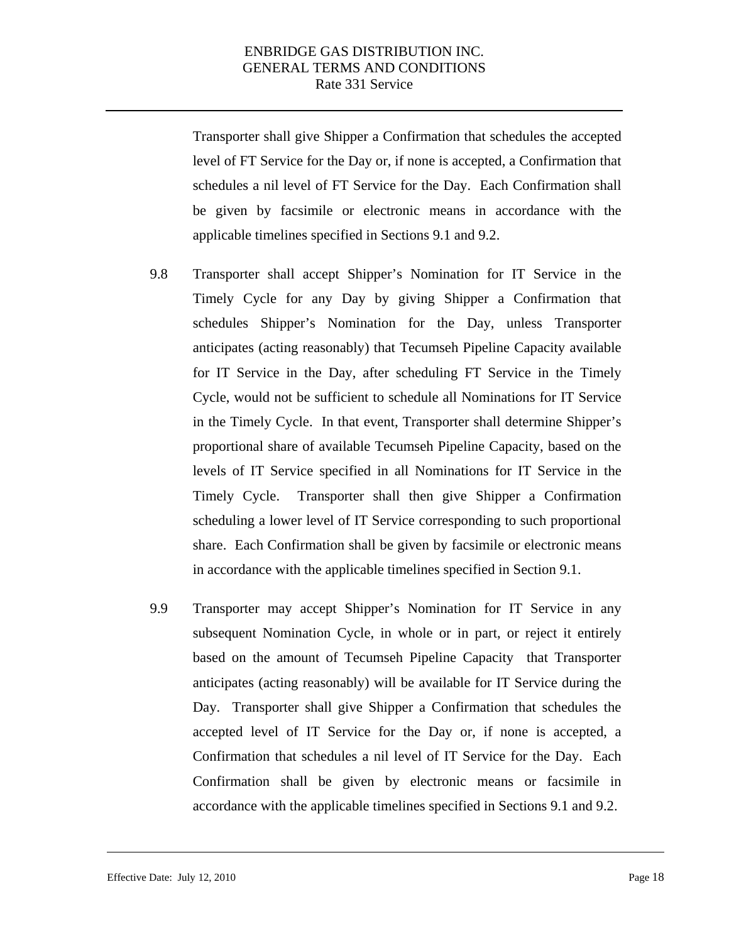Transporter shall give Shipper a Confirmation that schedules the accepted level of FT Service for the Day or, if none is accepted, a Confirmation that schedules a nil level of FT Service for the Day. Each Confirmation shall be given by facsimile or electronic means in accordance with the applicable timelines specified in Sections 9.1 and 9.2.

- 9.8 Transporter shall accept Shipper's Nomination for IT Service in the Timely Cycle for any Day by giving Shipper a Confirmation that schedules Shipper's Nomination for the Day, unless Transporter anticipates (acting reasonably) that Tecumseh Pipeline Capacity available for IT Service in the Day, after scheduling FT Service in the Timely Cycle, would not be sufficient to schedule all Nominations for IT Service in the Timely Cycle. In that event, Transporter shall determine Shipper's proportional share of available Tecumseh Pipeline Capacity, based on the levels of IT Service specified in all Nominations for IT Service in the Timely Cycle. Transporter shall then give Shipper a Confirmation scheduling a lower level of IT Service corresponding to such proportional share. Each Confirmation shall be given by facsimile or electronic means in accordance with the applicable timelines specified in Section 9.1.
- 9.9 Transporter may accept Shipper's Nomination for IT Service in any subsequent Nomination Cycle, in whole or in part, or reject it entirely based on the amount of Tecumseh Pipeline Capacity that Transporter anticipates (acting reasonably) will be available for IT Service during the Day. Transporter shall give Shipper a Confirmation that schedules the accepted level of IT Service for the Day or, if none is accepted, a Confirmation that schedules a nil level of IT Service for the Day. Each Confirmation shall be given by electronic means or facsimile in accordance with the applicable timelines specified in Sections 9.1 and 9.2.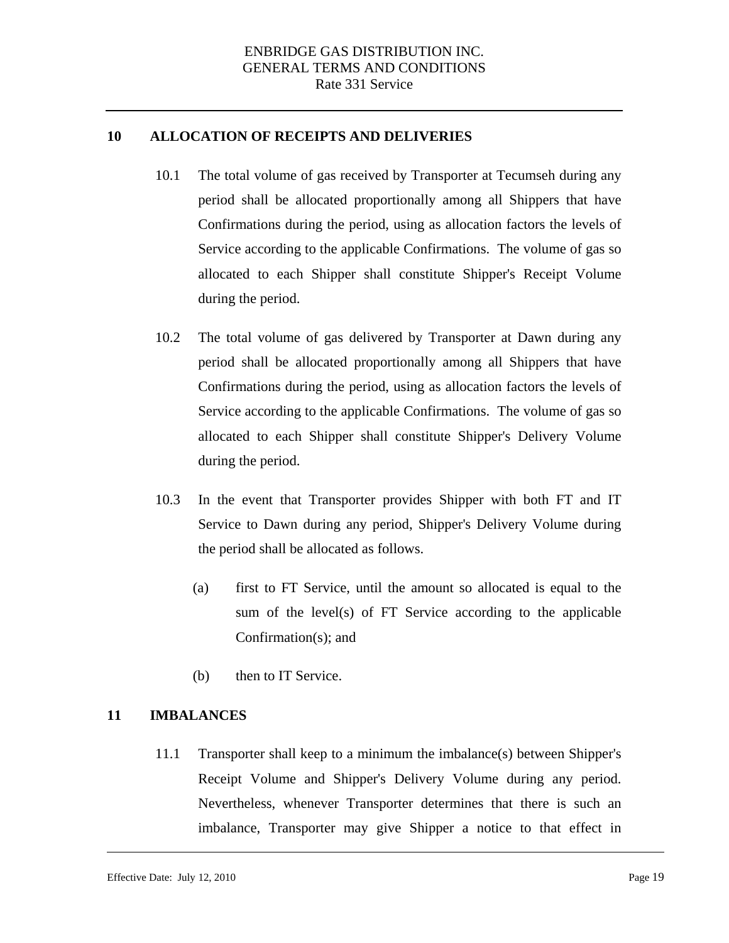### **10 ALLOCATION OF RECEIPTS AND DELIVERIES**

- 10.1 The total volume of gas received by Transporter at Tecumseh during any period shall be allocated proportionally among all Shippers that have Confirmations during the period, using as allocation factors the levels of Service according to the applicable Confirmations. The volume of gas so allocated to each Shipper shall constitute Shipper's Receipt Volume during the period.
- 10.2 The total volume of gas delivered by Transporter at Dawn during any period shall be allocated proportionally among all Shippers that have Confirmations during the period, using as allocation factors the levels of Service according to the applicable Confirmations. The volume of gas so allocated to each Shipper shall constitute Shipper's Delivery Volume during the period.
- 10.3 In the event that Transporter provides Shipper with both FT and IT Service to Dawn during any period, Shipper's Delivery Volume during the period shall be allocated as follows.
	- (a) first to FT Service, until the amount so allocated is equal to the sum of the level(s) of FT Service according to the applicable Confirmation(s); and
	- (b) then to IT Service.

### **11 IMBALANCES**

11.1 Transporter shall keep to a minimum the imbalance(s) between Shipper's Receipt Volume and Shipper's Delivery Volume during any period. Nevertheless, whenever Transporter determines that there is such an imbalance, Transporter may give Shipper a notice to that effect in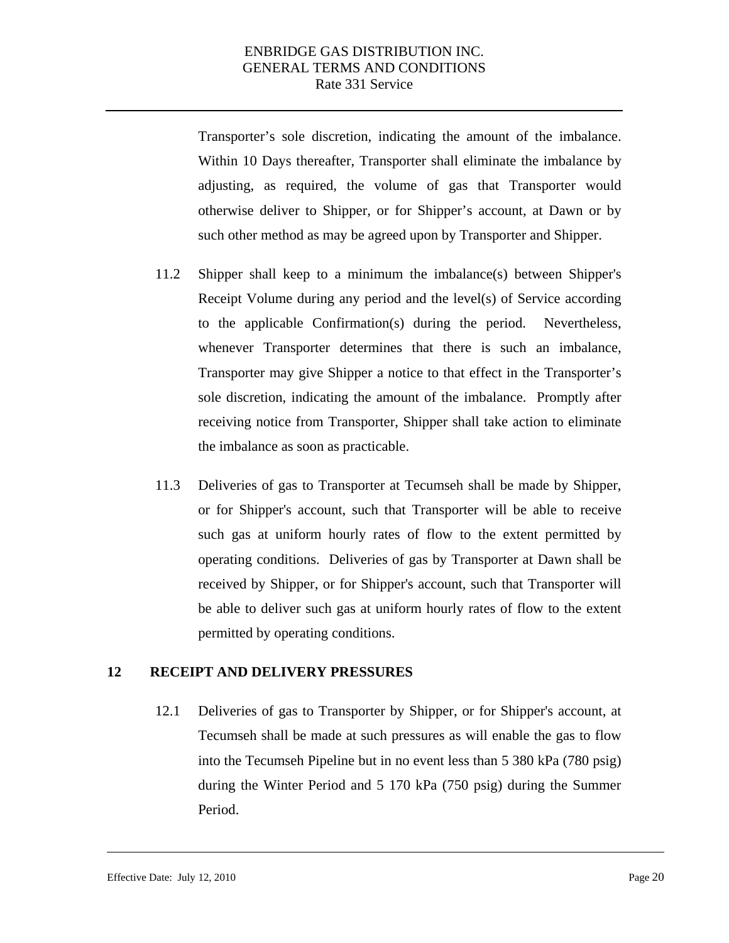<span id="page-20-0"></span>Transporter's sole discretion, indicating the amount of the imbalance. Within 10 Days thereafter, Transporter shall eliminate the imbalance by adjusting, as required, the volume of gas that Transporter would otherwise deliver to Shipper, or for Shipper's account, at Dawn or by such other method as may be agreed upon by Transporter and Shipper.

- 11.2 Shipper shall keep to a minimum the imbalance(s) between Shipper's Receipt Volume during any period and the level(s) of Service according to the applicable Confirmation(s) during the period. Nevertheless, whenever Transporter determines that there is such an imbalance, Transporter may give Shipper a notice to that effect in the Transporter's sole discretion, indicating the amount of the imbalance. Promptly after receiving notice from Transporter, Shipper shall take action to eliminate the imbalance as soon as practicable.
- 11.3 Deliveries of gas to Transporter at Tecumseh shall be made by Shipper, or for Shipper's account, such that Transporter will be able to receive such gas at uniform hourly rates of flow to the extent permitted by operating conditions. Deliveries of gas by Transporter at Dawn shall be received by Shipper, or for Shipper's account, such that Transporter will be able to deliver such gas at uniform hourly rates of flow to the extent permitted by operating conditions.

# **12 RECEIPT AND DELIVERY PRESSURES**

12.1 Deliveries of gas to Transporter by Shipper, or for Shipper's account, at Tecumseh shall be made at such pressures as will enable the gas to flow into the Tecumseh Pipeline but in no event less than 5 380 kPa (780 psig) during the Winter Period and 5 170 kPa (750 psig) during the Summer Period.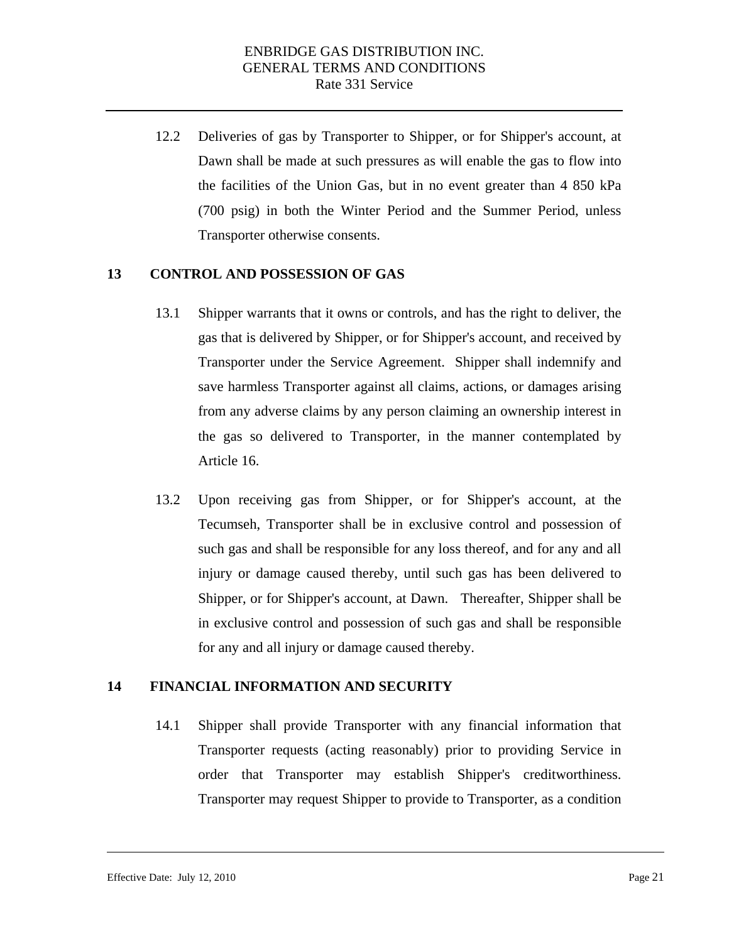12.2 Deliveries of gas by Transporter to Shipper, or for Shipper's account, at Dawn shall be made at such pressures as will enable the gas to flow into the facilities of the Union Gas, but in no event greater than 4 850 kPa (700 psig) in both the Winter Period and the Summer Period, unless Transporter otherwise consents.

### **13 CONTROL AND POSSESSION OF GAS**

- 13.1 Shipper warrants that it owns or controls, and has the right to deliver, the gas that is delivered by Shipper, or for Shipper's account, and received by Transporter under the Service Agreement. Shipper shall indemnify and save harmless Transporter against all claims, actions, or damages arising from any adverse claims by any person claiming an ownership interest in the gas so delivered to Transporter, in the manner contemplated by Article 16.
- 13.2 Upon receiving gas from Shipper, or for Shipper's account, at the Tecumseh, Transporter shall be in exclusive control and possession of such gas and shall be responsible for any loss thereof, and for any and all injury or damage caused thereby, until such gas has been delivered to Shipper, or for Shipper's account, at Dawn. Thereafter, Shipper shall be in exclusive control and possession of such gas and shall be responsible for any and all injury or damage caused thereby.

### **14 FINANCIAL INFORMATION AND SECURITY**

14.1 Shipper shall provide Transporter with any financial information that Transporter requests (acting reasonably) prior to providing Service in order that Transporter may establish Shipper's creditworthiness. Transporter may request Shipper to provide to Transporter, as a condition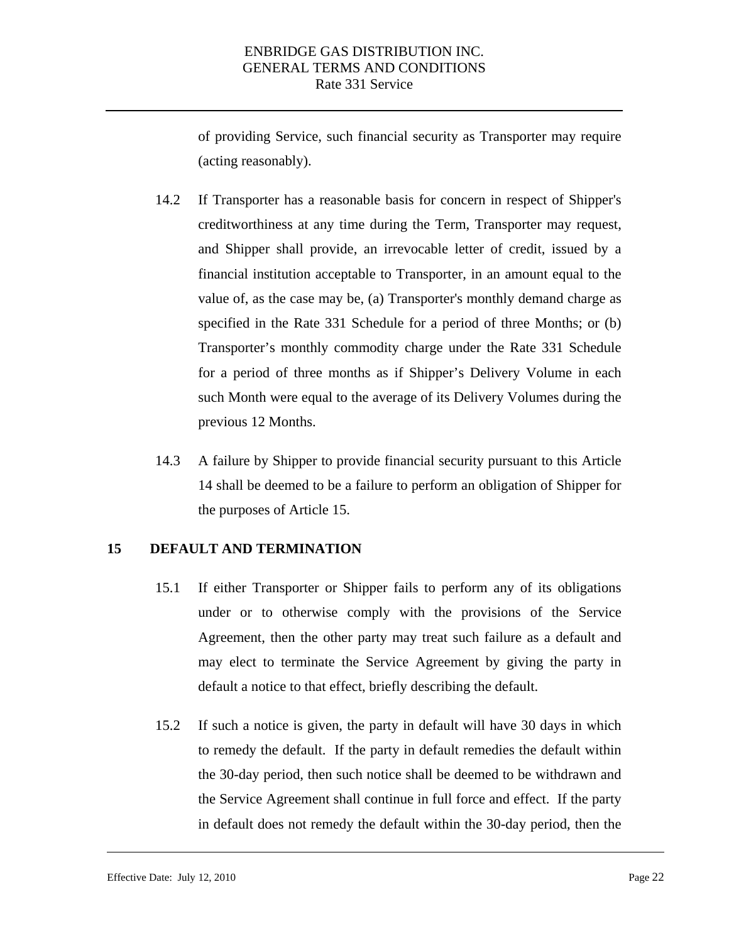of providing Service, such financial security as Transporter may require (acting reasonably).

- 14.2 If Transporter has a reasonable basis for concern in respect of Shipper's creditworthiness at any time during the Term, Transporter may request, and Shipper shall provide, an irrevocable letter of credit, issued by a financial institution acceptable to Transporter, in an amount equal to the value of, as the case may be, (a) Transporter's monthly demand charge as specified in the Rate 331 Schedule for a period of three Months; or (b) Transporter's monthly commodity charge under the Rate 331 Schedule for a period of three months as if Shipper's Delivery Volume in each such Month were equal to the average of its Delivery Volumes during the previous 12 Months.
- 14.3 A failure by Shipper to provide financial security pursuant to this Article 14 shall be deemed to be a failure to perform an obligation of Shipper for the purposes of Article 15.

### **15 DEFAULT AND TERMINATION**

- 15.1 If either Transporter or Shipper fails to perform any of its obligations under or to otherwise comply with the provisions of the Service Agreement, then the other party may treat such failure as a default and may elect to terminate the Service Agreement by giving the party in default a notice to that effect, briefly describing the default.
- 15.2 If such a notice is given, the party in default will have 30 days in which to remedy the default. If the party in default remedies the default within the 30-day period, then such notice shall be deemed to be withdrawn and the Service Agreement shall continue in full force and effect. If the party in default does not remedy the default within the 30-day period, then the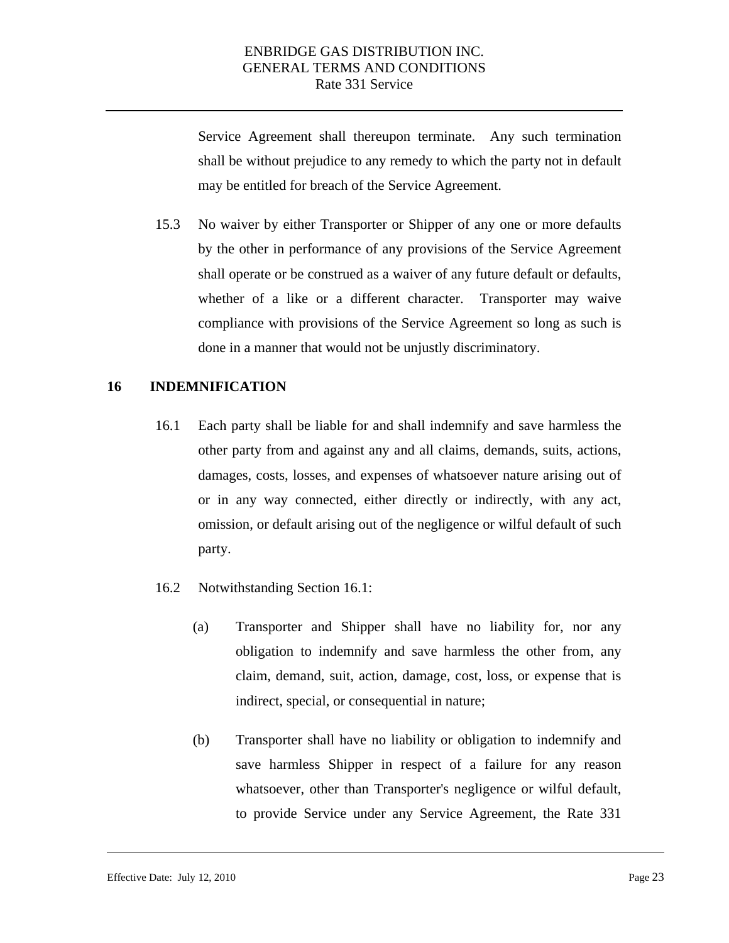Service Agreement shall thereupon terminate. Any such termination shall be without prejudice to any remedy to which the party not in default may be entitled for breach of the Service Agreement.

15.3 No waiver by either Transporter or Shipper of any one or more defaults by the other in performance of any provisions of the Service Agreement shall operate or be construed as a waiver of any future default or defaults, whether of a like or a different character. Transporter may waive compliance with provisions of the Service Agreement so long as such is done in a manner that would not be unjustly discriminatory.

## **16 INDEMNIFICATION**

- 16.1 Each party shall be liable for and shall indemnify and save harmless the other party from and against any and all claims, demands, suits, actions, damages, costs, losses, and expenses of whatsoever nature arising out of or in any way connected, either directly or indirectly, with any act, omission, or default arising out of the negligence or wilful default of such party.
- 16.2 Notwithstanding Section 16.1:
	- (a) Transporter and Shipper shall have no liability for, nor any obligation to indemnify and save harmless the other from, any claim, demand, suit, action, damage, cost, loss, or expense that is indirect, special, or consequential in nature;
	- (b) Transporter shall have no liability or obligation to indemnify and save harmless Shipper in respect of a failure for any reason whatsoever, other than Transporter's negligence or wilful default, to provide Service under any Service Agreement, the Rate 331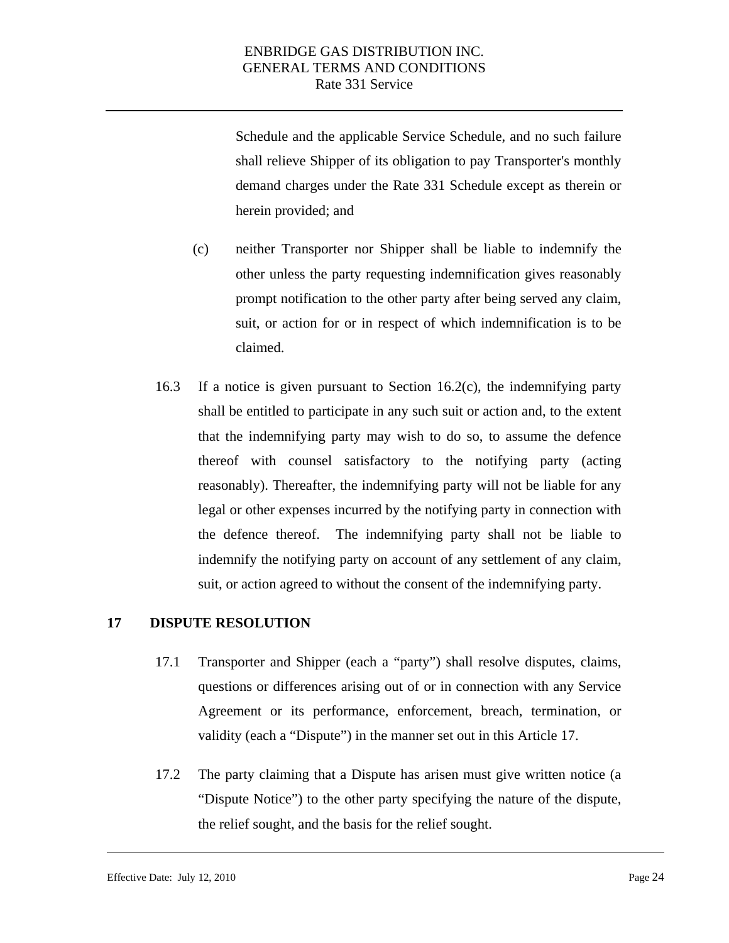Schedule and the applicable Service Schedule, and no such failure shall relieve Shipper of its obligation to pay Transporter's monthly demand charges under the Rate 331 Schedule except as therein or herein provided; and

- (c) neither Transporter nor Shipper shall be liable to indemnify the other unless the party requesting indemnification gives reasonably prompt notification to the other party after being served any claim, suit, or action for or in respect of which indemnification is to be claimed.
- 16.3 If a notice is given pursuant to Section 16.2(c), the indemnifying party shall be entitled to participate in any such suit or action and, to the extent that the indemnifying party may wish to do so, to assume the defence thereof with counsel satisfactory to the notifying party (acting reasonably). Thereafter, the indemnifying party will not be liable for any legal or other expenses incurred by the notifying party in connection with the defence thereof. The indemnifying party shall not be liable to indemnify the notifying party on account of any settlement of any claim, suit, or action agreed to without the consent of the indemnifying party.

### **17 DISPUTE RESOLUTION**

- 17.1 Transporter and Shipper (each a "party") shall resolve disputes, claims, questions or differences arising out of or in connection with any Service Agreement or its performance, enforcement, breach, termination, or validity (each a "Dispute") in the manner set out in this Article 17.
- 17.2 The party claiming that a Dispute has arisen must give written notice (a "Dispute Notice") to the other party specifying the nature of the dispute, the relief sought, and the basis for the relief sought.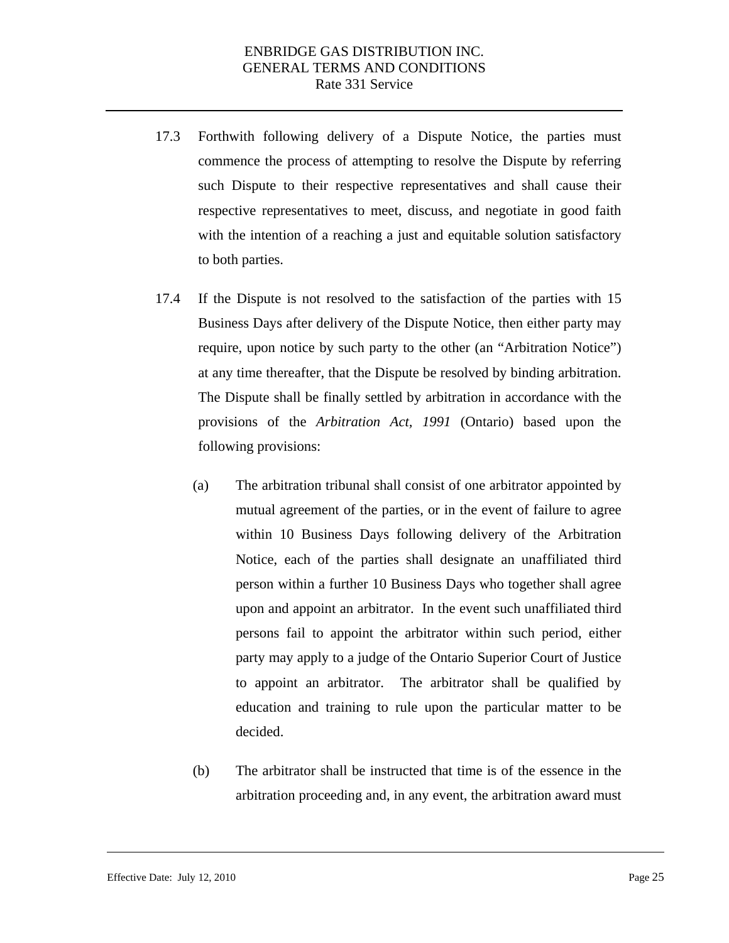- 17.3 Forthwith following delivery of a Dispute Notice, the parties must commence the process of attempting to resolve the Dispute by referring such Dispute to their respective representatives and shall cause their respective representatives to meet, discuss, and negotiate in good faith with the intention of a reaching a just and equitable solution satisfactory to both parties.
- 17.4 If the Dispute is not resolved to the satisfaction of the parties with 15 Business Days after delivery of the Dispute Notice, then either party may require, upon notice by such party to the other (an "Arbitration Notice") at any time thereafter, that the Dispute be resolved by binding arbitration. The Dispute shall be finally settled by arbitration in accordance with the provisions of the *Arbitration Act, 1991* (Ontario) based upon the following provisions:
	- (a) The arbitration tribunal shall consist of one arbitrator appointed by mutual agreement of the parties, or in the event of failure to agree within 10 Business Days following delivery of the Arbitration Notice, each of the parties shall designate an unaffiliated third person within a further 10 Business Days who together shall agree upon and appoint an arbitrator. In the event such unaffiliated third persons fail to appoint the arbitrator within such period, either party may apply to a judge of the Ontario Superior Court of Justice to appoint an arbitrator. The arbitrator shall be qualified by education and training to rule upon the particular matter to be decided.
	- (b) The arbitrator shall be instructed that time is of the essence in the arbitration proceeding and, in any event, the arbitration award must